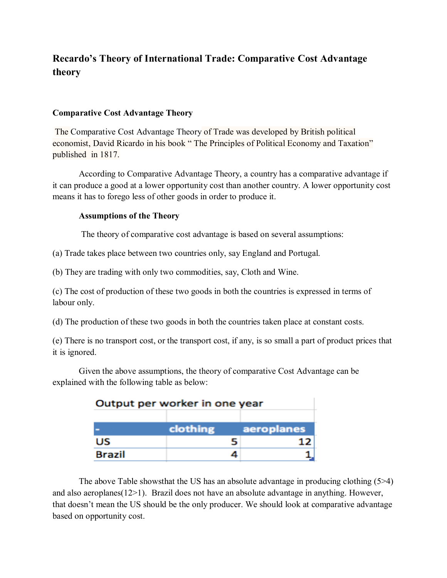## **Recardo's Theory of International Trade: Comparative Cost Advantage theory**

## **Comparative Cost Advantage Theory**

The Comparative Cost Advantage Theory of Trade was developed by British political economist, David Ricardo in his book " The Principles of Political Economy and Taxation" published in 1817.

According to Comparative Advantage Theory, a country has a comparative advantage if it can produce a good at a lower opportunity cost than another country. A lower opportunity cost means it has to forego less of other goods in order to produce it.

## **Assumptions of the Theory**

The theory of comparative cost advantage is based on several assumptions:

(a) Trade takes place between two countries only, say England and Portugal.

(b) They are trading with only two commodities, say, Cloth and Wine.

(c) The cost of production of these two goods in both the countries is expressed in terms of labour only.

(d) The production of these two goods in both the countries taken place at constant costs.

(e) There is no transport cost, or the transport cost, if any, is so small a part of product prices that it is ignored.

Given the above assumptions, the theory of comparative Cost Advantage can be explained with the following table as below:

| Output per worker in one year |          |            |  |
|-------------------------------|----------|------------|--|
|                               | clothing | aeroplanes |  |
| US                            |          | 1 フ        |  |
| <b>Brazil</b>                 |          |            |  |

The above Table showsthat the US has an absolute advantage in producing clothing (5>4) and also aeroplanes(12>1). Brazil does not have an absolute advantage in anything. However, that doesn't mean the US should be the only producer. We should look at comparative advantage based on opportunity cost.